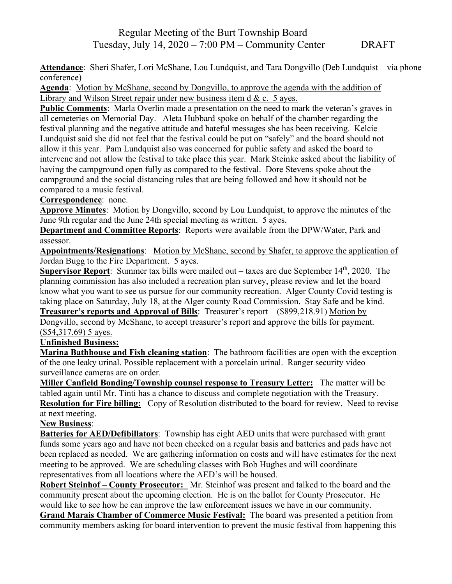## Regular Meeting of the Burt Township Board Tuesday, July 14, 2020 – 7:00 PM – Community Center DRAFT

**Attendance**: Sheri Shafer, Lori McShane, Lou Lundquist, and Tara Dongvillo (Deb Lundquist – via phone conference)

**Agenda**: Motion by McShane, second by Dongvillo, to approve the agenda with the addition of Library and Wilson Street repair under new business item d & c. 5 ayes.

**Public Comments**: Marla Overlin made a presentation on the need to mark the veteran's graves in all cemeteries on Memorial Day. Aleta Hubbard spoke on behalf of the chamber regarding the festival planning and the negative attitude and hateful messages she has been receiving. Kelcie Lundquist said she did not feel that the festival could be put on "safely" and the board should not allow it this year. Pam Lundquist also was concerned for public safety and asked the board to intervene and not allow the festival to take place this year. Mark Steinke asked about the liability of having the campground open fully as compared to the festival. Dore Stevens spoke about the campground and the social distancing rules that are being followed and how it should not be compared to a music festival.

**Correspondence**: none.

**Approve Minutes**: Motion by Dongvillo, second by Lou Lundquist, to approve the minutes of the June 9th regular and the June 24th special meeting as written. 5 ayes.

**Department and Committee Reports**: Reports were available from the DPW/Water, Park and assessor.

**Appointments/Resignations**: Motion by McShane, second by Shafer, to approve the application of Jordan Bugg to the Fire Department. 5 ayes.

**Supervisor Report**: Summer tax bills were mailed out – taxes are due September 14<sup>th</sup>, 2020. The planning commission has also included a recreation plan survey, please review and let the board know what you want to see us pursue for our community recreation. Alger County Covid testing is taking place on Saturday, July 18, at the Alger county Road Commission. Stay Safe and be kind. **Treasurer's reports and Approval of Bills**: Treasurer's report – (\$899,218.91) Motion by

Dongvillo, second by McShane, to accept treasurer's report and approve the bills for payment. (\$54,317.69) 5 ayes.

**Unfinished Business:** 

**Marina Bathhouse and Fish cleaning station**: The bathroom facilities are open with the exception of the one leaky urinal. Possible replacement with a porcelain urinal. Ranger security video surveillance cameras are on order.

**Miller Canfield Bonding/Township counsel response to Treasury Letter:** The matter will be tabled again until Mr. Tinti has a chance to discuss and complete negotiation with the Treasury. **Resolution for Fire billing:** Copy of Resolution distributed to the board for review. Need to revise at next meeting.

## **New Business**:

**Batteries for AED/Defibillators**: Township has eight AED units that were purchased with grant funds some years ago and have not been checked on a regular basis and batteries and pads have not been replaced as needed. We are gathering information on costs and will have estimates for the next meeting to be approved. We are scheduling classes with Bob Hughes and will coordinate representatives from all locations where the AED's will be housed.

**Robert Steinhof – County Prosecutor:** Mr. Steinhof was present and talked to the board and the community present about the upcoming election. He is on the ballot for County Prosecutor. He would like to see how he can improve the law enforcement issues we have in our community.

**Grand Marais Chamber of Commerce Music Festival:** The board was presented a petition from community members asking for board intervention to prevent the music festival from happening this